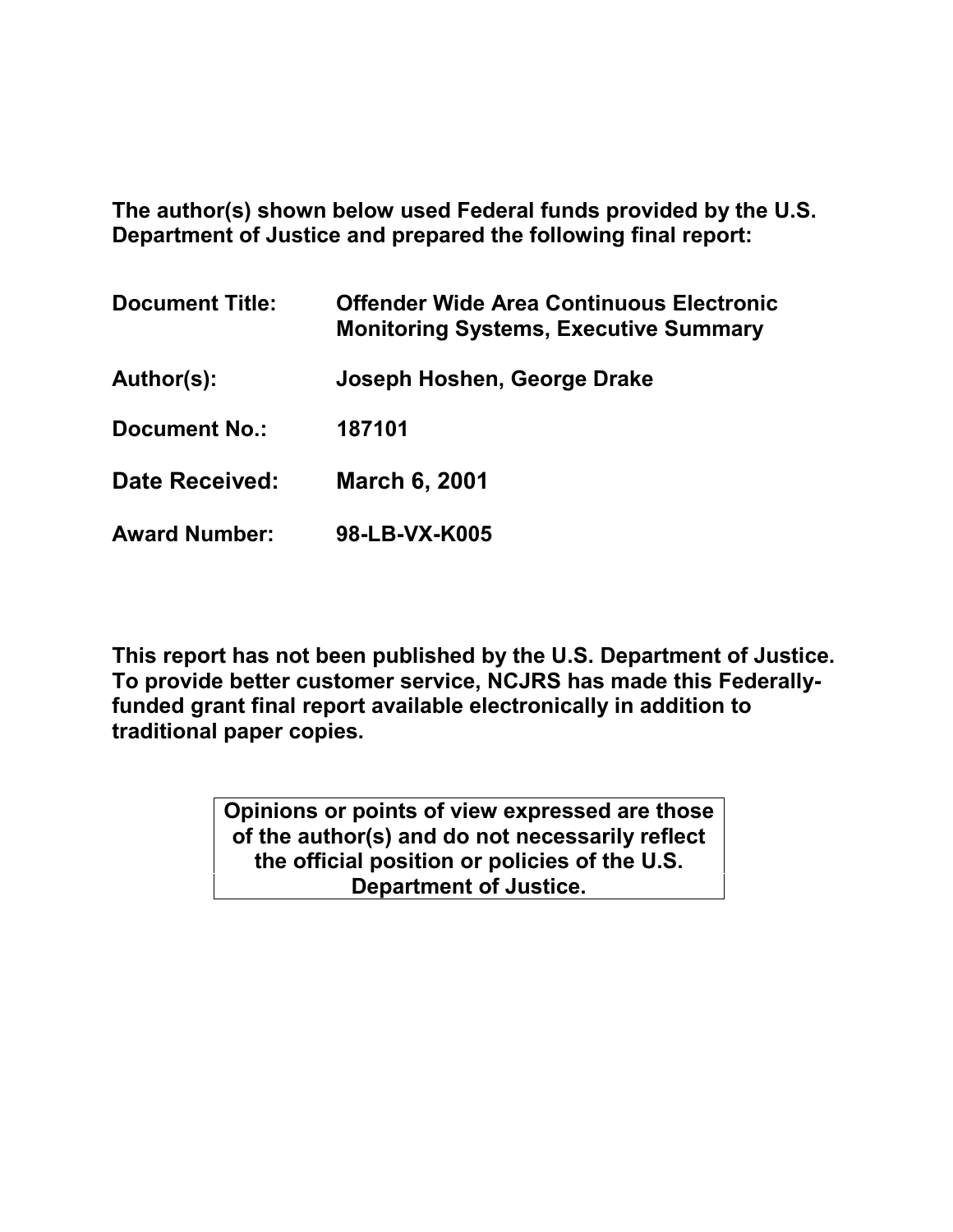**The author(s) shown below used Federal funds provided by the U.S. Department of Justice and prepared the following final report:**

| <b>Document Title:</b> | <b>Offender Wide Area Continuous Electronic</b><br><b>Monitoring Systems, Executive Summary</b> |
|------------------------|-------------------------------------------------------------------------------------------------|
| Author(s):             | Joseph Hoshen, George Drake                                                                     |
| <b>Document No.:</b>   | 187101                                                                                          |
| Date Received:         | <b>March 6, 2001</b>                                                                            |
| <b>Award Number:</b>   | 98-LB-VX-K005                                                                                   |

**This report has not been published by the U.S. Department of Justice. To provide better customer service, NCJRS has made this Federallyfunded grant final report available electronically in addition to traditional paper copies.**

> **Opinions or points of view expressed are those of the author(s) and do not necessarily reflect the official position or policies of the U.S. Department of Justice.**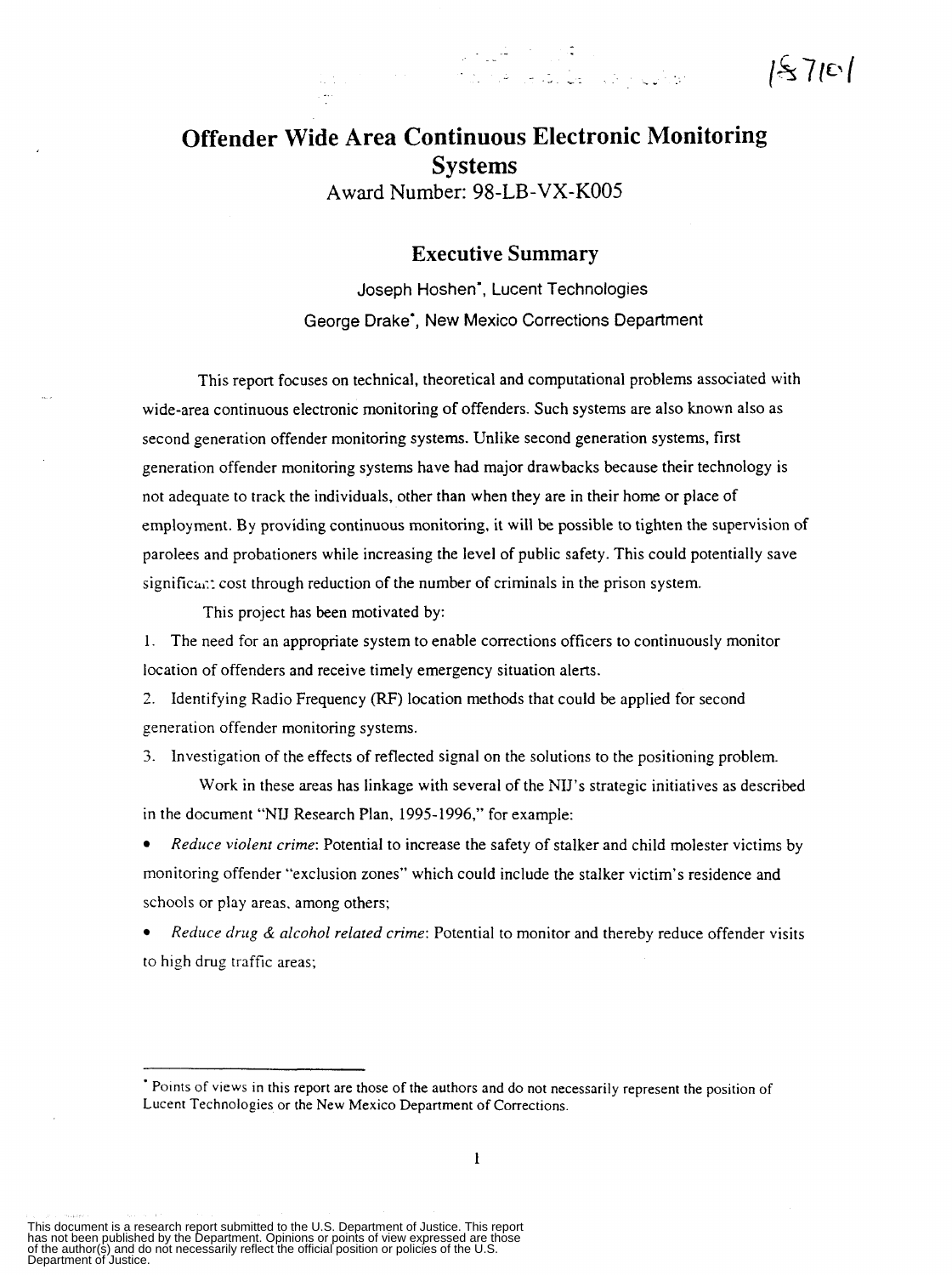## **Offender Wide Area Continuous Electronic Monitoring Systems Award** Number: 98-LB-VX-KO05

## **Executive Summary**

an a chuid ann an 1970.<br>Bha ann an 1970 an 1970 an 1970 an 1970 an 1970.<br>Bha ann an 1970 an 1970 an 1970 an 1970.

 $15710$ 

Joseph Hoshen', Lucent Technologies George Drake', New Mexico Corrections Department

This report focuses on technical, theoretical and computational problems associated with wide-area continuous electronic monitoring of offenders. Such systems are also known also as second generation offender monitoring systems. Unlike second generation systems, first generation offender monitoring systems have had major drawbacks because their technology is not adequate to track the individuals, other than when they are in their home or place of employment. By providing continuous monitoring. it will be possible to tighten the supervision of parolees and probationers while increasing the level of public safety. This could potentially save  $signification: cost through reduction of the number of criminals in the prison system.$ 

This project has been motivated by:

1. The need for an appropriate system to enable corrections officers to continuously monitor location of offenders and receive timely emergency situation alerts.

2. Identifying Radio Frequency (RF) location methods that could be applied for second generation offender monitoring systems.

*3.* Investigation of the effects of reflected signal on the solutions to the positioning problem.

**Work** in these areas has linkage with several of the NIJ's strategic initiatives as described in the document "NU Research Plan, 1995-1996," for example:

monitoring offender "exclusion zones" which could include the stalker victim's residence and schools or play areas. among others; *Reduce violent crime:* Potential to increase the safety of stalker and child molester victims by

to high drug traffic areas; *Reduce drug* & *alcohol related crime:* Potential to monitor and thereby reduce offender visits

This document is a research report submitted to the U.S. Department of Justice. This report<br>has not been published by the Department. Opinions or points of view expressed are those<br>of the author(s) and do not necessarily r

<sup>\*</sup> Points of views in this report are those of the authors and do not necessarily represent the position of Lucent Technologies or the New Mexico Department of Corrections.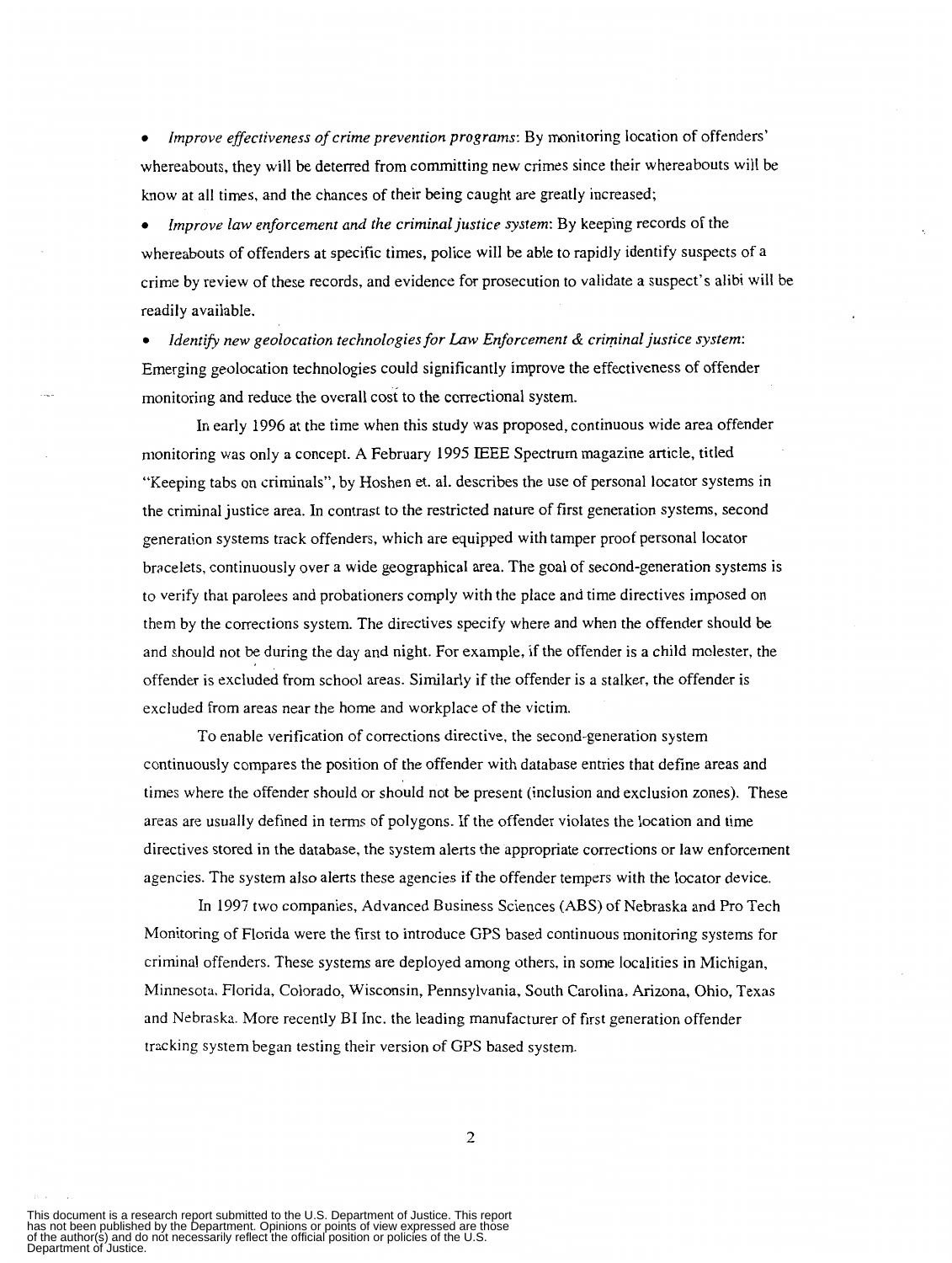whereabouts, they will be deterred from committing new crimes since their whereabouts will be know at all times, and the chances of their being caught are greatly increased; *Improve effectiveness of crime prevention programs:* By monitoring location of offenders'

*Improve law enforcement and the criminal justice system:* By keeping records of the whereabouts of offenders at specific times, police will be able to rapidly identify suspects of a crime by review of these records, and evidence for prosecution to validate a suspect's alibi will be readily available.

Emerging geolocation technologies could significantly improve the effectiveness of offender monitoring and reduce the overall cosi to the correctional system. *Idenrib new geolocation technologies for Law Enforcement* & *criminal justice system:* 

In early 1996 at the time when this study was proposed, continuous wide area offender monitoring was only a concept. **A** February 1995 IEEE Spectrum magazine article, titled "Keeping tabs on criminals", by Hoshen et. al. describes the use of personal locator systems in the criminal justice area. In contrast to the restricted nature of first generation systems, second generation systems track offenders, which are equipped with tamper proof personal locator bracelets, continuously over a wide geographical area. The goal of second-generation systems is to verify that parolees and probationers comply with the place and time directives imposed on them by the corrections system. The directives specify where and when the offender should be and should not be during the day and night. For example, if the offender is a child molester, the offender is excluded from school areas. Similarly if the offender is a stalker, the offender is excluded from areas near the home and workplace of the victim.

To enable verification of corrections directive, the second-generation system continuously compares the position of the offender with database entries that define areas and times where the offender should or should not be present (inclusion and exclusion zones). These areas are usually defined in terms of polygons. If the offender violates the location and time directives stored in the database, the system alerts the appropriate corrections or law enforcement agencies. The system also alerts these agencies if the offender tempers with the locator device.

In 1997 two companies, Advanced Business Sciences **(ABS)** of Nebraska and Pro Tech Monitoring of Florida were the first to introduce GPS based continuous monitoring systems for criminal offenders. These systems are deployed among others, in some localities in Michigan, Minnesota, Florida, Colorado, Wisconsin, Pennsylvania, South Carolina, Arizona, Ohio, Texas and Nebraska. More recently BI Inc. the leading manufacturer of first generation offender tracking system began testing their version of GPS based system.

2

This document is a research report submitted to the U.S. Department of Justice. This report<br>has not been published by the Department. Opinions or points of view expressed are those<br>of the author(s) and do not necessarily r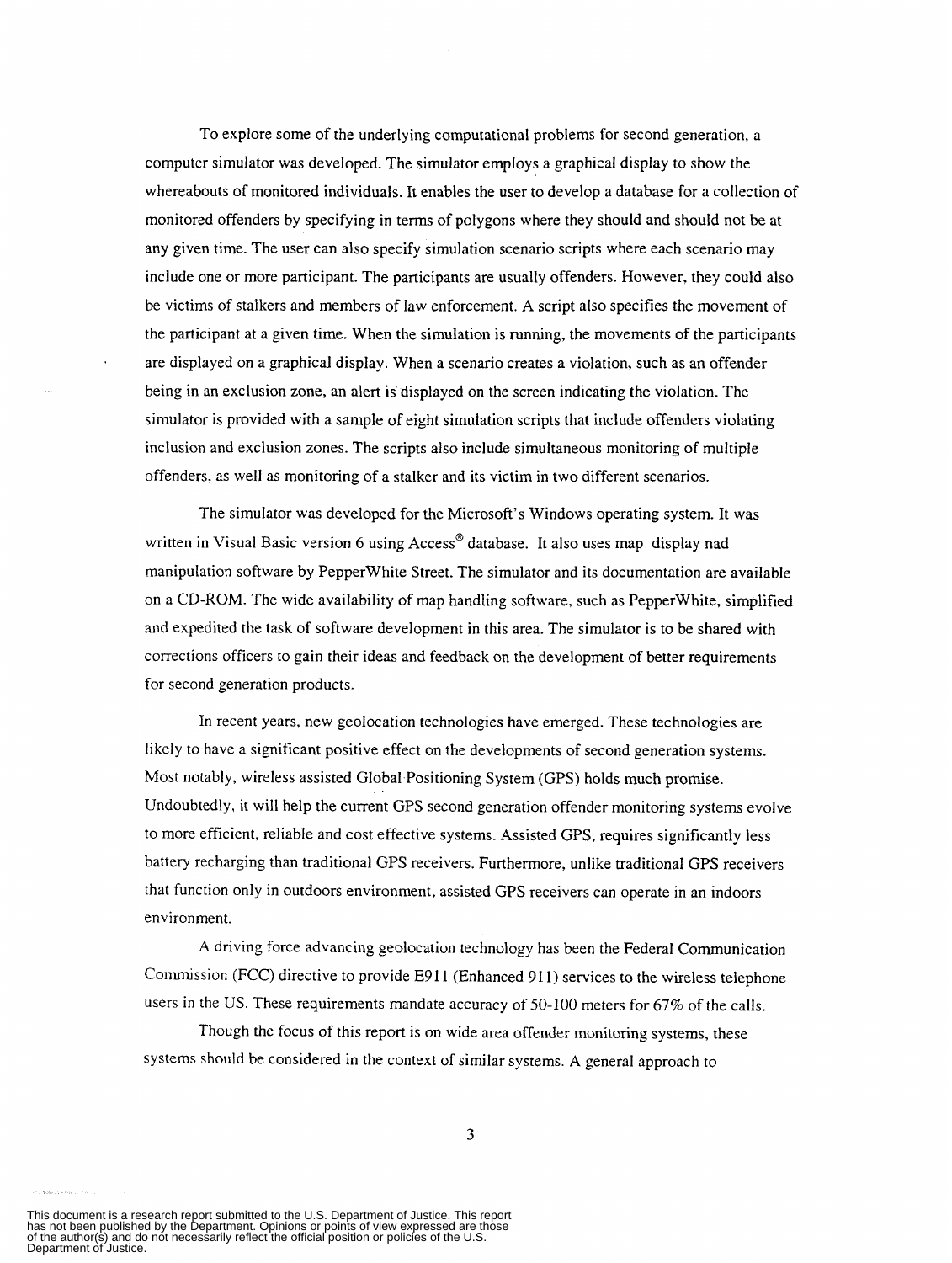To explore some of the underlying computational problems for second generation, a computer simulator was developed. The simulator employs a graphical display to show the whereabouts of monitored individuals. **It** enables the user to develop a database for a collection of monitored offenders by specifying in terms of polygons where they should and should not be at any given time. The user can also specify simulation scenario scripts where each scenario may include one or more participant. The participants are usually offenders. However, they could also be victims of stalkers and members of law enforcement. A script also specifies the movement of the participant at a given time. When the simulation is running, the movements of the participants are displayed on a graphical display. When a scenario creates a violation, such as an offender being in an exclusion zone, an alert is displayed on the screen indicating the violation. The simulator is provided with a sample of eight simulation scripts that include offenders violating inclusion and exclusion zones. The scripts also include simultaneous monitoring of multiple offenders, as well as monitoring of a stalker and its victim in two different scenarios.

The simulator was developed for the Microsoft's Windows operating system. It was written in Visual Basic version 6 using Access<sup>®</sup> database. It also uses map display nad manipulation software by PepperWhite Street. The simulator and its documentation are available on a CD-ROM. The wide availability of map handling software, such as PepperWhite, simplified and expedited the task of software development in this area. The simulator is to be shared with corrections officers to gain their ideas and feedback on the development of better requirements for second generation products.

In recent years, new geolocation technologies have emerged. These technologies are likely to have **a** significant positive effect on the developments of second generation systems. Most notably, wireless assisted Global Positioning System (GPS) holds much promise. Undoubtedly, it will help the current GPS second generation offender monitoring systems evolve to more efficient, reliable and cost effective systems. Assisted GPS, requires significantly less battery recharging than traditional GPS receivers. Furthermore, unlike traditional GPS receivers that function only in outdoors environment, assisted GPS receivers can operate in an indoors environment.

**A** driving force advancing geolocation technology has been the Federal Communication Commission (FCC) directive to provide E911 (Enhanced 911) services to the wireless telephone users in the US. These requirements mandate accuracy of 50-100 meters for 67% of the calls.

Though the focus of this report is on wide area offender monitoring systems, these systems should be considered in the context of similar systems. **A** general approach to

1

This document is a research report submitted to the U.S. Department of Justice. This report<br>has not been published by the Department. Opinions or points of view expressed are those<br>of the author(s) and do not necessarily r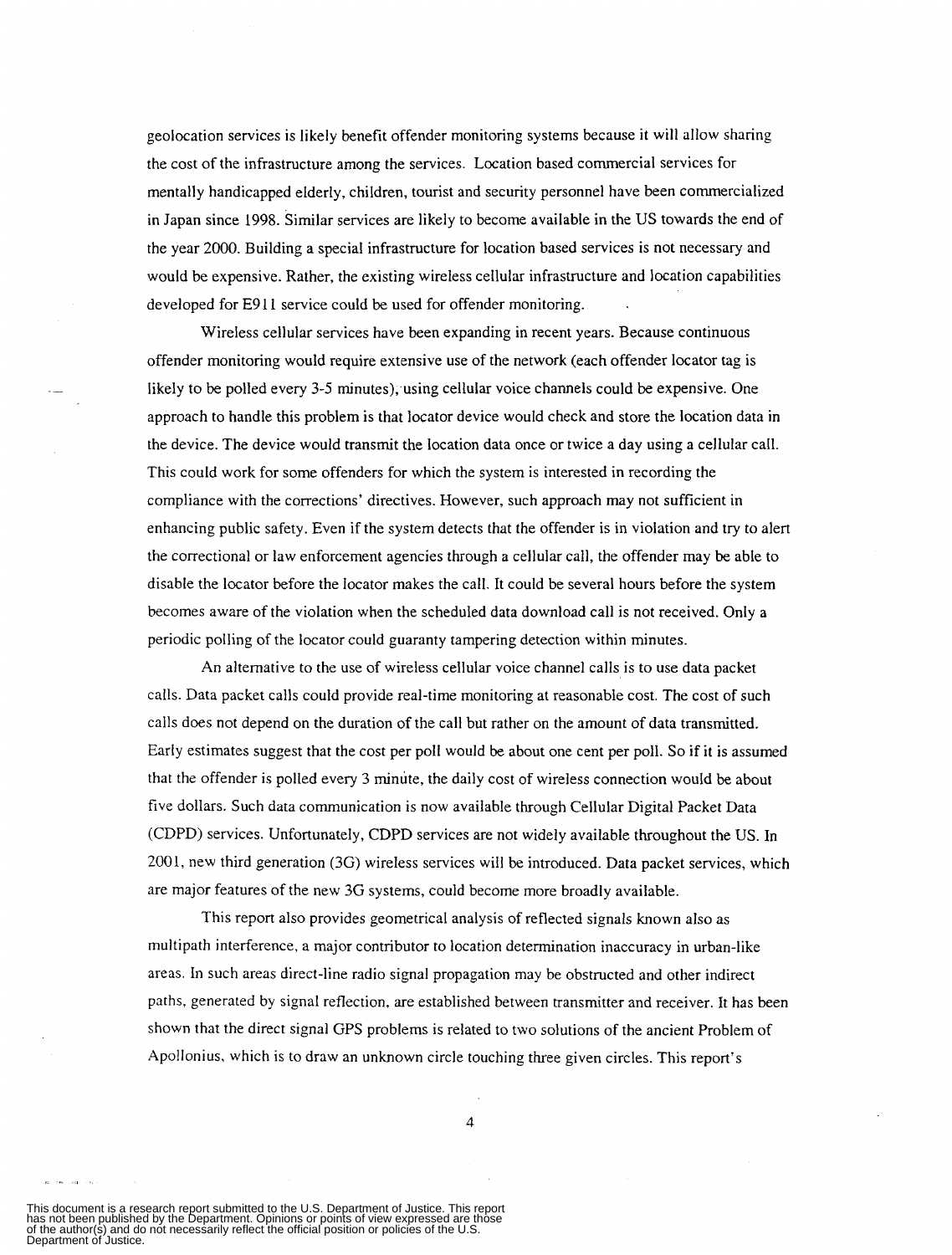geolocation services is likely benefit offender monitoring systems because it will allow sharing the cost of the infrastructure among the services. Location based commercial services for mentally handicapped elderly, children, tourist and security personnel have been commercialized in Japan since 1998. Similar services are likely to become available **in** the US towards the end of the year 2000. Building a special infrastructure for location based services is not necessary and would be expensive. Rather, the existing wireless cellular infrastructure and location capabilities developed for E9 **1** 1 service could be used for offender monitoring.

Wireless cellular services have been expanding in recent years. Because continuous offender monitoring would require extensive use of the network (each offender locator tag is likely to be polled every 3-5 minutes), using cellular voice channels could be expensive. One approach to handle this problem is that locator device would check and store the location data in the device. The device would transmit the location data once or twice a day using a cellular call. This could work for some offenders for which the system is interested in recording the compliance with the corrections' directives. However, such approach may not sufficient in enhancing public safety. Even if the system detects that the offender is in violation and try to alert the correctional or law enforcement agencies through a cellular call, the offender may be able to disable the locator before the locator makes the call. It could be several hours before the system becomes aware of the violation when the scheduled data download call is not received. Only a periodic polling of the locator could guaranty tampering detection within minutes.

An alternative to the use of wireless cellular voice channel calls is to use data packet calls. Data packet calls could provide real-time monitoring at reasonable cost. The cost of such calls does not depend on the duration of the call but rather on the amount of data transmitted. Early estimates suggest that the cost per poll would be about one cent per poll. So if it is assumed that the offender is polled every *3* minute, the daily cost of wireless connection would be about five dollars. Such data communication is now available through Cellular Digital Packet Data (CDPD) services. Unfortunately, CDPD services are not widely available throughout the US. In 2001, new third generation (3G) wireless services will be introduced. Data packet services, which are major features of the new 3G systems, could become more broadly available.

This report also provides geometrical analysis of reflected signals known also as multipath interference, a major contributor to location determination inaccuracy in urban-like areas. In such areas direct-line radio signal propagation may be obstructed and other indirect paths, generated by signal reflection, are established between transmitter and receiver. **It** has been shown that the direct signal GPS problems is related to two solutions of the ancient Problem of Apollonius, which is to draw an unknown circle touching three given circles. This report's

4

This document is a research report submitted to the U.S. Department of Justice. This report<br>has not been published by the Department. Opinions or points of view expressed are those<br>of the author(s) and do not necessarily r

--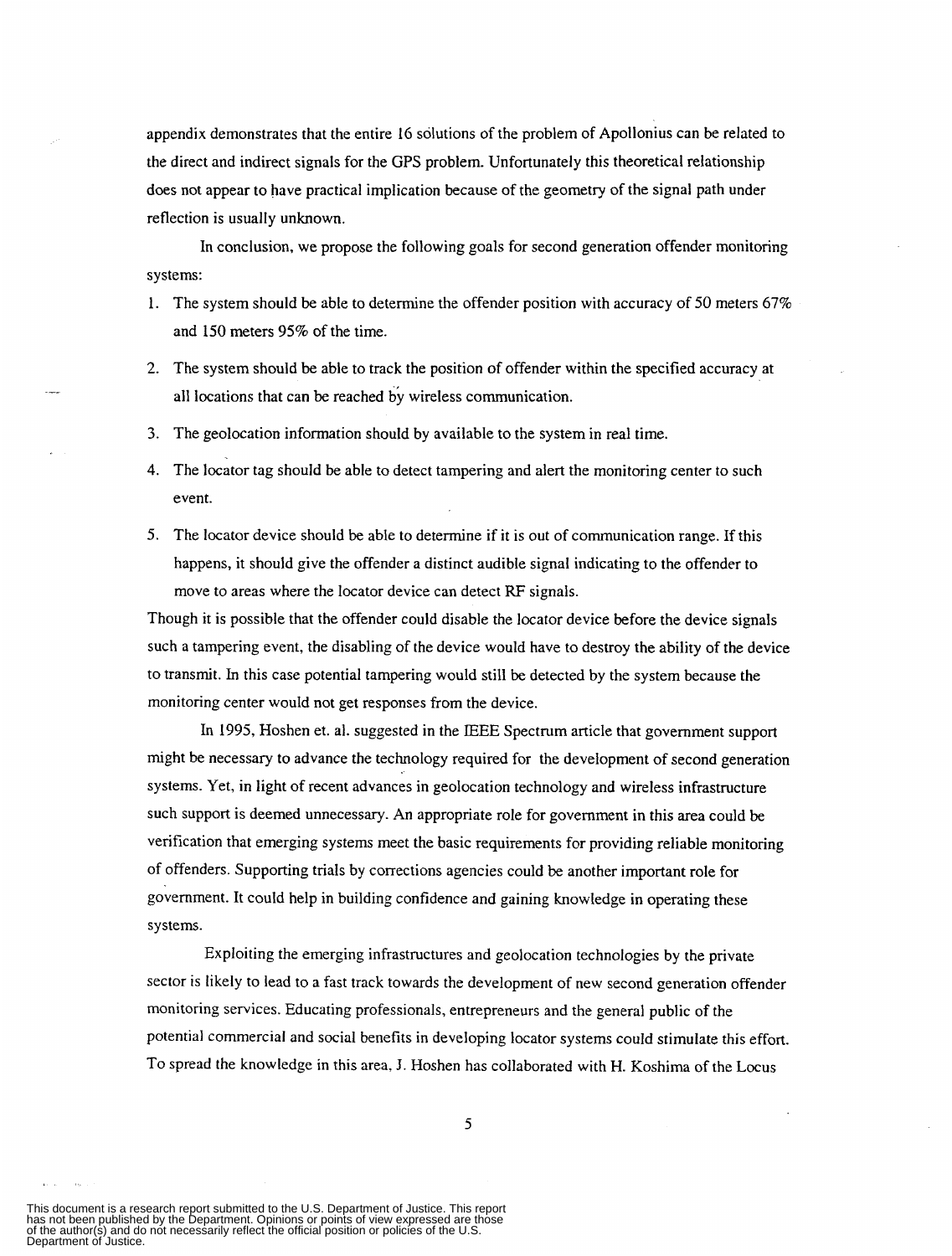appendix demonstrates that the entire I6 solutions of the problem of Apollonius can be related to the direct and indirect signals for the GPS problem. Unfortunately this theoretical relationship does not appear to have practical implication because of the geometry of the signal path under reflection is usually unknown.

In conclusion, we propose the following goals for second generation offender monitoring systems:

- 1. The system should be able to determine the offender position with accuracy of 50 meters 67% and 150 meters 95% of the time.
- **2.** The system should be able *to* track the position of offender within the specified accuracy at all locations that can be reached by wireless communication.
- 3. The geolocation information should by available to the system in real time.

.-

- **4.** The locator tag should be able to detect tampering and alert the monitoring center to such event.
- *5.* The locator device should be able to determine if it is out of communication range. If this happens, it should give the offender a distinct audible signal indicating to the offender to move to areas where the locator device can detect RF signals.

Though it is possible that the offender could disable the locator device before the device signals such a tampering event, the disabling of the device would have to destroy the ability of the device to transmit. In this case potential tampering would still be detected by the system because the monitoring center would not get responses from the device.

In 1995, Hoshen et. al. suggested in the IEEE Spectrum article that government support might be necessary to advance the technology required for the development of second generation systems. Yet, in light of recent advances in geolocation technology and wireless infrastructure such support is deemed unnecessary. An appropriate role for government in this area could be verification that emerging systems meet the basic requirements for providing reliable monitoring of offenders. Supporting trials by corrections agencies could be another important role for government. It could help in building confidence and gaining knowledge in operating these systems.

Exploiting the emerging infrastructures and geolocation technologies by the private sector is likely to lead to a fast track towards the development of new second generation offender monitoring services. Educating professionals, entrepreneurs and the general public of the potential commercial and social benefits in developing locator systems could stimulate this effort. To spread the knowledge in this area, **J.** Hoshen has collaborated with H. Koshima of the Locus

This document is a research report submitted to the U.S. Department of Justice. This report<br>has not been published by the Department. Opinions or points of view expressed are those<br>of the author(s) and do not necessarily r